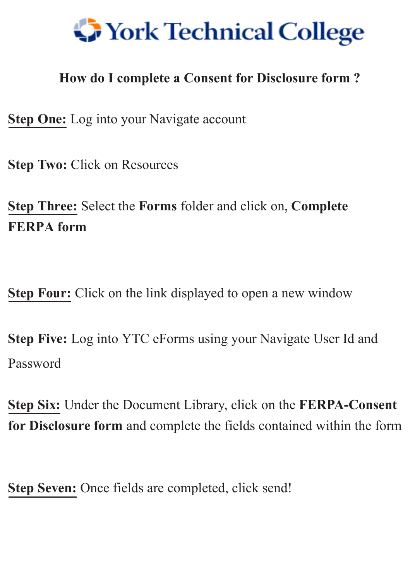

## **How do I complete a Consent for Disclosure form ?**

**Step One:** Log into your Navigate account

**Step Two:** Click on Resources

**Step Three:** Select the **Forms** folder and click on, **Complete FERPA form**

**Step Four:** Click on the link displayed to open a new window

**Step Five:** <sup>L</sup>og into YTC eForms using your Navigate User Id and Password

**Step Six:** Under the Document Library, click on the **FERPA-Consent for Disclosure form** and complete the fields contained within the form

**Step Seven:** Once fields are completed, click send!